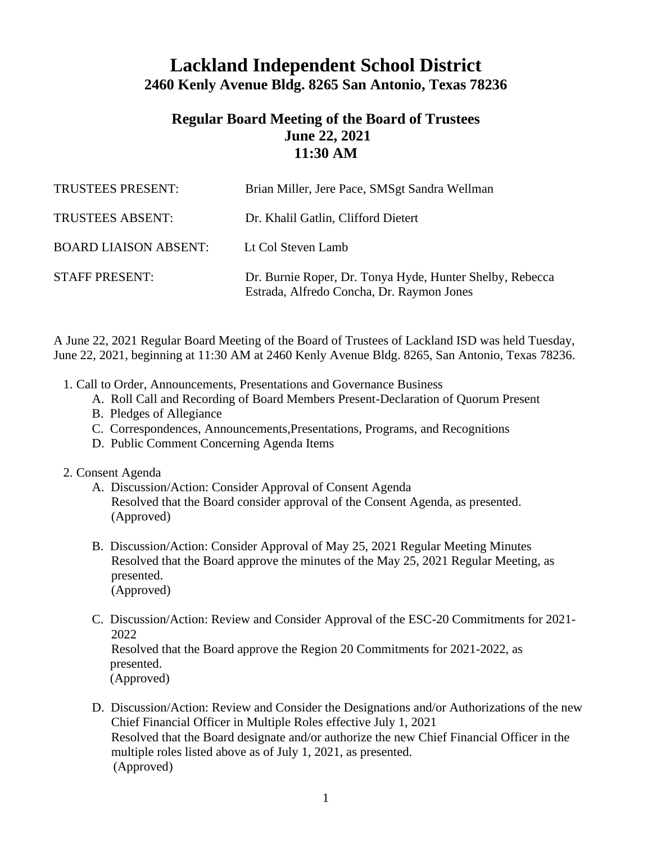## **Lackland Independent School District 2460 Kenly Avenue Bldg. 8265 San Antonio, Texas 78236**

## **Regular Board Meeting of the Board of Trustees June 22, 2021 11:30 AM**

| TRUSTEES PRESENT:            | Brian Miller, Jere Pace, SMSgt Sandra Wellman                                                         |
|------------------------------|-------------------------------------------------------------------------------------------------------|
| TRUSTEES ABSENT:             | Dr. Khalil Gatlin, Clifford Dietert                                                                   |
| <b>BOARD LIAISON ABSENT:</b> | Lt Col Steven Lamb                                                                                    |
| <b>STAFF PRESENT:</b>        | Dr. Burnie Roper, Dr. Tonya Hyde, Hunter Shelby, Rebecca<br>Estrada, Alfredo Concha, Dr. Raymon Jones |

A June 22, 2021 Regular Board Meeting of the Board of Trustees of Lackland ISD was held Tuesday, June 22, 2021, beginning at 11:30 AM at 2460 Kenly Avenue Bldg. 8265, San Antonio, Texas 78236.

1. Call to Order, Announcements, Presentations and Governance Business

- A. Roll Call and Recording of Board Members Present-Declaration of Quorum Present
- B. Pledges of Allegiance
- C. Correspondences, Announcements,Presentations, Programs, and Recognitions
- D. Public Comment Concerning Agenda Items
- 2. Consent Agenda
	- A. Discussion/Action: Consider Approval of Consent Agenda Resolved that the Board consider approval of the Consent Agenda, as presented. (Approved)
	- B. Discussion/Action: Consider Approval of May 25, 2021 Regular Meeting Minutes Resolved that the Board approve the minutes of the May 25, 2021 Regular Meeting, as presented. (Approved)
	- C. Discussion/Action: Review and Consider Approval of the ESC-20 Commitments for 2021- 2022

 Resolved that the Board approve the Region 20 Commitments for 2021-2022, as presented. (Approved)

D. Discussion/Action: Review and Consider the Designations and/or Authorizations of the new Chief Financial Officer in Multiple Roles effective July 1, 2021 Resolved that the Board designate and/or authorize the new Chief Financial Officer in the multiple roles listed above as of July 1, 2021, as presented. (Approved)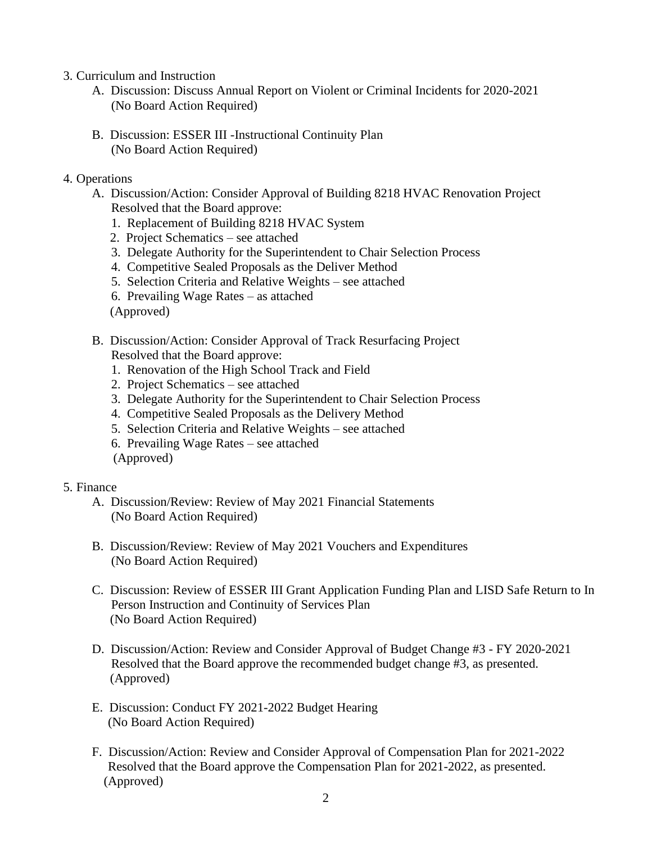- 3. Curriculum and Instruction
	- A. Discussion: Discuss Annual Report on Violent or Criminal Incidents for 2020-2021 (No Board Action Required)
	- B. Discussion: ESSER III -Instructional Continuity Plan (No Board Action Required)
- 4. Operations
	- A. Discussion/Action: Consider Approval of Building 8218 HVAC Renovation Project Resolved that the Board approve:
		- 1. Replacement of Building 8218 HVAC System
		- 2. Project Schematics see attached
		- 3. Delegate Authority for the Superintendent to Chair Selection Process
		- 4. Competitive Sealed Proposals as the Deliver Method
		- 5. Selection Criteria and Relative Weights see attached
		- 6. Prevailing Wage Rates as attached

(Approved)

- B. Discussion/Action: Consider Approval of Track Resurfacing Project Resolved that the Board approve:
	- 1. Renovation of the High School Track and Field
	- 2. Project Schematics see attached
	- 3. Delegate Authority for the Superintendent to Chair Selection Process
	- 4. Competitive Sealed Proposals as the Delivery Method
	- 5. Selection Criteria and Relative Weights see attached
	- 6. Prevailing Wage Rates see attached (Approved)

## 5. Finance

- A. Discussion/Review: Review of May 2021 Financial Statements (No Board Action Required)
- B. Discussion/Review: Review of May 2021 Vouchers and Expenditures (No Board Action Required)
- C. Discussion: Review of ESSER III Grant Application Funding Plan and LISD Safe Return to In Person Instruction and Continuity of Services Plan (No Board Action Required)
- D. Discussion/Action: Review and Consider Approval of Budget Change #3 FY 2020-2021 Resolved that the Board approve the recommended budget change #3, as presented. (Approved)
- E. Discussion: Conduct FY 2021-2022 Budget Hearing (No Board Action Required)
- F. Discussion/Action: Review and Consider Approval of Compensation Plan for 2021-2022 Resolved that the Board approve the Compensation Plan for 2021-2022, as presented. (Approved)